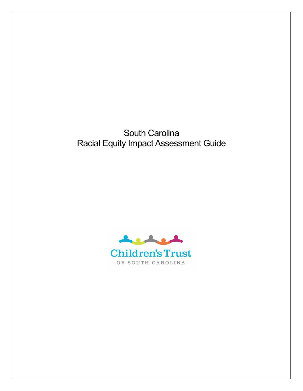South Carolina Racial Equity Impact Assessment Guide

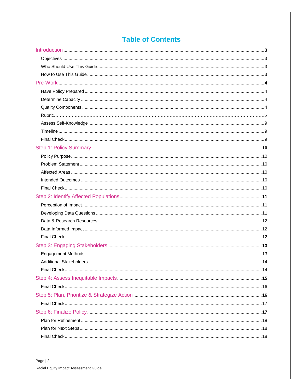# **Table of Contents**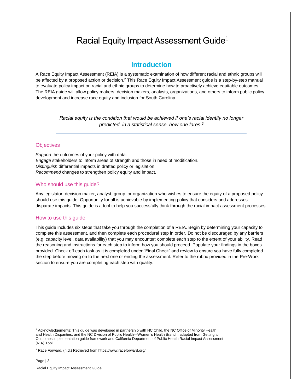# Racial Equity Impact Assessment Guide<sup>1</sup>

## **Introduction**

<span id="page-2-0"></span>A Race Equity Impact Assessment (REIA) is a systematic examination of how different racial and ethnic groups will be affected by a proposed action or decision.<sup>2</sup> This Race Equity Impact Assessment guide is a step-by-step manual to evaluate policy impact on racial and ethnic groups to determine how to proactively achieve equitable outcomes. The REIA guide will allow policy makers, decision makers, analysts, organizations, and others to inform public policy development and increase race equity and inclusion for South Carolina.

> *Racial equity is the condition that would be achieved if one's racial identity no longer predicted, in a statistical sense, how one fares.<sup>2</sup>*

### **Objectives**

*Support* the outcomes of your policy with data. *Engage* stakeholders to inform areas of strength and those in need of modification. *Distinguish* differential impacts in drafted policy or legislation. *Recommend* changes to strengthen policy equity and impact.

### Who should use this guide?

Any legislator, decision maker, analyst, group, or organization who wishes to ensure the equity of a proposed policy should use this guide. Opportunity for all is achievable by implementing policy that considers and addresses disparate impacts. This guide is a tool to help you successfully think through the racial impact assessment processes.

#### How to use this guide

<span id="page-2-1"></span>This guide includes six steps that take you through the completion of a REIA. Begin by determining your capacity to complete this assessment, and then complete each procedural step in order. Do not be discouraged by any barriers (e.g. capacity level, data availability) that you may encounter; complete each step to the extent of your ability. Read the reasoning and instructions for each step to inform how you should proceed. Populate your findings in the boxes provided. Check off each task as it is completed under "Final Check" and review to ensure you have fully completed the step before moving on to the next one or ending the assessment. Refer to the rubric provided in the Pre-Work section to ensure you are completing each step with quality.

Page | 3

l

<sup>1</sup> Acknowledgements: This guide was developed in partnership with NC Child, the NC Office of Minority Health and Health Disparities, and the NC Division of Public Health—Women's Health Branch; adapted from Getting to Outcomes implementation guide framework and California Department of Public Health Racial Impact Assessment (RIA) Tool.

<sup>2</sup> Race Forward. (n.d.) Retrieved from https://www.raceforward.org/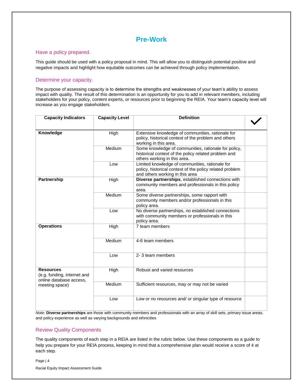## **Pre-Work**

### Have a policy prepared.

This guide should be used with a policy proposal in mind. This will allow you to distinguish potential positive and negative impacts and highlight how equitable outcomes can be achieved through policy implementation.

## Determine your capacity.

The purpose of assessing capacity is to determine the strengths and weaknesses of your team's ability to assess impact with quality. The result of this determination is an opportunity for you to add in relevant members, including stakeholders for your policy, content experts, or resources prior to beginning the REIA. Your team's capacity level will increase as you engage stakeholders.

| <b>Capacity Indicators</b>                                                 | <b>Capacity Level</b> | <b>Definition</b>                                                                                                                              |  |
|----------------------------------------------------------------------------|-----------------------|------------------------------------------------------------------------------------------------------------------------------------------------|--|
|                                                                            |                       |                                                                                                                                                |  |
| Knowledge                                                                  | High                  | Extensive knowledge of communities, rationale for<br>policy, historical context of the problem and others<br>working in this area.             |  |
|                                                                            | Medium                | Some knowledge of communities, rationale for policy,<br>historical context of the policy related problem and<br>others working in this area.   |  |
|                                                                            | Low                   | Limited knowledge of communities, rationale for<br>policy, historical context of the policy related problem<br>and others working in this area |  |
| <b>Partnership</b>                                                         | High                  | Diverse partnerships, established connections with<br>community members and professionals in this policy<br>area.                              |  |
|                                                                            | Medium                | Some diverse partnerships, some rapport with<br>community members and/or professionals in this<br>policy area.                                 |  |
|                                                                            | Low                   | No diverse partnerships, no established connections<br>with community members or professionals in this<br>policy area.                         |  |
| <b>Operations</b>                                                          | High                  | 7 team members                                                                                                                                 |  |
|                                                                            | Medium                | 4-6 team members                                                                                                                               |  |
|                                                                            | Low                   | 2-3 team members                                                                                                                               |  |
| <b>Resources</b><br>(e.g. funding, internet and<br>online database access, | High                  | Robust and varied resources                                                                                                                    |  |
| meeting space)                                                             | Medium                | Sufficient resources, may or may not be varied                                                                                                 |  |
|                                                                            | Low                   | Low or no resources and/ or singular type of resource                                                                                          |  |

*Note:* **Diverse partnerships** are those with community members and professionals with an array of skill sets, primary issue areas, and policy experience as well as varying backgrounds and ethnicities

### Review Quality Components

The quality components of each step in a REIA are listed in the rubric below. Use these components as a guide to help you prepare for your REIA process, keeping in mind that a comprehensive plan would receive a score of 4 at each step.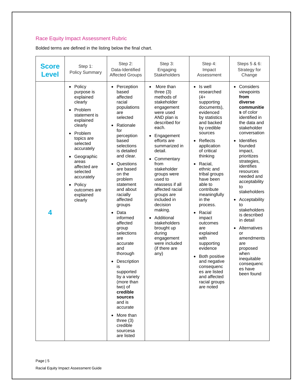## Race Equity Impact Assessment Rubric

Bolded terms are defined in the listing below the final chart.

| <b>Score</b><br>Level | Step 1:<br><b>Policy Summary</b>                                                                                                                                                                                                                                                                               | Step 2:<br>Data-Identified<br><b>Affected Groups</b>                                                                                                                                                                                                                                                                                                                                                                                                                                                                                                                                                                                              | Step 3:<br>Engaging<br><b>Stakeholders</b>                                                                                                                                                                                                                                                                                                                                                                                                                                                       | Step 4:<br>Impact<br>Assessment                                                                                                                                                                                                                                                                                                                                                                                                                                                                                                                                                     | Steps 5 & 6:<br>Strategy for<br>Change                                                                                                                                                                                                                                                                                                                                                                                                                                                                                   |
|-----------------------|----------------------------------------------------------------------------------------------------------------------------------------------------------------------------------------------------------------------------------------------------------------------------------------------------------------|---------------------------------------------------------------------------------------------------------------------------------------------------------------------------------------------------------------------------------------------------------------------------------------------------------------------------------------------------------------------------------------------------------------------------------------------------------------------------------------------------------------------------------------------------------------------------------------------------------------------------------------------------|--------------------------------------------------------------------------------------------------------------------------------------------------------------------------------------------------------------------------------------------------------------------------------------------------------------------------------------------------------------------------------------------------------------------------------------------------------------------------------------------------|-------------------------------------------------------------------------------------------------------------------------------------------------------------------------------------------------------------------------------------------------------------------------------------------------------------------------------------------------------------------------------------------------------------------------------------------------------------------------------------------------------------------------------------------------------------------------------------|--------------------------------------------------------------------------------------------------------------------------------------------------------------------------------------------------------------------------------------------------------------------------------------------------------------------------------------------------------------------------------------------------------------------------------------------------------------------------------------------------------------------------|
| 4                     | • Policy<br>purpose is<br>explained<br>clearly<br>Problem<br>statement is<br>explained<br>clearly<br>Problem<br>$\bullet$<br>topics are<br>selected<br>accurately<br>Geographic<br>$\bullet$<br>areas<br>affected are<br>selected<br>accurately<br>Policy<br>$\bullet$<br>outcomes are<br>explained<br>clearly | Perception<br>$\bullet$<br>based<br>affected<br>racial<br>populations<br>are<br>selected<br>Rationale<br>$\bullet$<br>for<br>perception<br>based<br>selections<br>is detailed<br>and clear.<br>Questions<br>$\bullet$<br>are based<br>on the<br>problem<br>statement<br>and about<br>racially<br>affected<br>groups<br>Data<br>$\bullet$<br>informed<br>affected<br>group<br>selections<br>are<br>accurate<br>and<br>thorough<br>Description<br>$\bullet$<br>is<br>supported<br>by a variety<br>(more than<br>two) of<br>credible<br>sources<br>and is<br>accurate<br>More than<br>$\bullet$<br>three $(3)$<br>credible<br>sourcesa<br>are listed | More than<br>$\bullet$<br>three $(3)$<br>methods of<br>stakeholder<br>engagement<br>were used<br>AND plan is<br>described for<br>each.<br>Engagement<br>efforts are<br>summarized in<br>detail.<br>Commentary<br>$\bullet$<br>from<br>stakeholder<br>groups were<br>used to<br>reassess if all<br>affected racial<br>groups are<br>included in<br>decision<br>making.<br>Additional<br>$\bullet$<br>stakeholders<br>brought up<br>during<br>engagement<br>were included<br>(if there are<br>any) | Is well<br>$\bullet$<br>researched<br>$(4 +$<br>supporting<br>documents),<br>evidenced<br>by statistics<br>and backed<br>by credible<br>sources<br>Reflects<br>$\bullet$<br>application<br>of critical<br>thinking<br>Racial,<br>$\bullet$<br>ethnic and<br>tribal groups<br>have been<br>able to<br>contribute<br>meaningfully<br>in the<br>process.<br>Racial<br>$\bullet$<br>impact<br>outcomes<br>are<br>explained<br>with<br>supporting<br>evidence<br>Both positive<br>$\bullet$<br>and negative<br>consequenc<br>es are listed<br>and affected<br>racial groups<br>are noted | Considers<br>$\bullet$<br>viewpoints<br>from<br>diverse<br>communitie<br>s of color<br>identified in<br>the data and<br>stakeholder<br>conversation<br>Identifies<br>$\bullet$<br>founded<br>impact,<br>prioritizes<br>strategies,<br>identifies<br>resources<br>needed and<br>acceptability<br>to<br>stakeholders<br>Acceptability<br>$\bullet$<br>to<br>stakeholders<br>is described<br>in detail<br>Alternatives<br>or<br>amendments<br>are<br>proposed<br>when<br>inequitable<br>consequenc<br>es have<br>been found |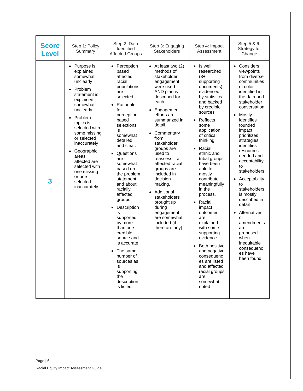| <b>Score</b><br><b>Level</b> | Step 1: Policy<br>Summary                                                                                                                                                                                                                                                                                                                                       | Step 2: Data<br>Identified<br><b>Affected Groups</b>                                                                                                                                                                                                                                                                                                                                                                                                                                                                                             | Step 3: Engaging<br><b>Stakeholders</b>                                                                                                                                                                                                                                                                                                                                                                                                                                                | Step 4: Impact<br>Assessment                                                                                                                                                                                                                                                                                                                                                                                                                                                                                                                                                                                | Step 5 & 6:<br>Strategy for<br>Change                                                                                                                                                                                                                                                                                                                                                                                                                                                                                                    |
|------------------------------|-----------------------------------------------------------------------------------------------------------------------------------------------------------------------------------------------------------------------------------------------------------------------------------------------------------------------------------------------------------------|--------------------------------------------------------------------------------------------------------------------------------------------------------------------------------------------------------------------------------------------------------------------------------------------------------------------------------------------------------------------------------------------------------------------------------------------------------------------------------------------------------------------------------------------------|----------------------------------------------------------------------------------------------------------------------------------------------------------------------------------------------------------------------------------------------------------------------------------------------------------------------------------------------------------------------------------------------------------------------------------------------------------------------------------------|-------------------------------------------------------------------------------------------------------------------------------------------------------------------------------------------------------------------------------------------------------------------------------------------------------------------------------------------------------------------------------------------------------------------------------------------------------------------------------------------------------------------------------------------------------------------------------------------------------------|------------------------------------------------------------------------------------------------------------------------------------------------------------------------------------------------------------------------------------------------------------------------------------------------------------------------------------------------------------------------------------------------------------------------------------------------------------------------------------------------------------------------------------------|
| 3                            | • Purpose is<br>explained<br>somewhat<br>unclearly<br>Problem<br>$\bullet$<br>statement is<br>explained<br>somewhat<br>unclearly<br>Problem<br>$\bullet$<br>topics is<br>selected with<br>some missing<br>or selected<br>inaccurately<br>Geographic<br>$\bullet$<br>areas<br>affected are<br>selected with<br>one missing<br>or one<br>selected<br>inaccurately | • Perception<br>based<br>affected<br>racial<br>populations<br>are<br>selected<br>Rationale<br>for<br>perception<br>based<br>selections<br>is<br>somewhat<br>detailed<br>and clear.<br>Questions<br>$\bullet$<br>are<br>somewhat<br>based on<br>the problem<br>statement<br>and about<br>racially<br>affected<br>groups<br>Description<br>$\bullet$<br>is<br>supported<br>by more<br>than one<br>credible<br>source and<br>is accurate<br>The same<br>$\bullet$<br>number of<br>sources as<br>is<br>supporting<br>the<br>description<br>is listed | • At least two $(2)$<br>methods of<br>stakeholder<br>engagement<br>were used<br>AND plan is<br>described for<br>each.<br>Engagement<br>efforts are<br>summarized in<br>detail.<br>Commentary<br>$\bullet$<br>from<br>stakeholder<br>groups are<br>used to<br>reassess if all<br>affected racial<br>groups are<br>included in<br>decision<br>making.<br>Additional<br>$\bullet$<br>stakeholders<br>brought up<br>during<br>engagement<br>are somewhat<br>included (if<br>there are any) | Is well<br>$\bullet$<br>researched<br>$(3+$<br>supporting<br>documents),<br>evidenced<br>by statistics<br>and backed<br>by credible<br>sources<br>Reflects<br>$\bullet$<br>some<br>application<br>of critical<br>thinking<br>Racial,<br>$\bullet$<br>ethnic and<br>tribal groups<br>have been<br>able to<br>mostly<br>contribute<br>meaningfully<br>in the<br>process.<br>Racial<br>$\bullet$<br>impact<br>outcomes<br>are<br>explained<br>with some<br>supporting<br>evidence<br>Both positive<br>and negative<br>consequenc<br>es are listed<br>and affected<br>racial groups<br>are<br>somewhat<br>noted | Considers<br>$\bullet$<br>viewpoints<br>from diverse<br>communities<br>of color<br>identified in<br>the data and<br>stakeholder<br>conversation<br>Mostly<br>$\bullet$<br>identifies<br>founded<br>impact,<br>prioritizes<br>strategies,<br>identifies<br>resources<br>needed and<br>acceptability<br>to<br>stakeholders<br>Acceptability<br>to<br>stakeholders<br>is mostly<br>described in<br>detail<br>Alternatives<br>$\bullet$<br>or<br>amendments<br>are<br>proposed<br>when<br>inequitable<br>consequenc<br>es have<br>been found |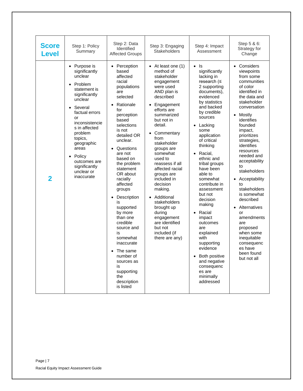| <b>Score</b><br>Level   | Step 1: Policy<br>Summary                                                                                                                                                                                                                                                                                                        | Step 2: Data<br>Identified<br><b>Affected Groups</b>                                                                                                                                                                                                                                                                                                                                                                                                                                                                  | Step 3: Engaging<br><b>Stakeholders</b>                                                                                                                                                                                                                                                                                                                                                                                                                                                                                         | Step 4: Impact<br>Assessment                                                                                                                                                                                                                                                                                                                                                                                                                                                                                                                                                                 | Step 5 & 6:<br>Strategy for<br>Change                                                                                                                                                                                                                                                                                                                                                                                                                                                                                                                       |
|-------------------------|----------------------------------------------------------------------------------------------------------------------------------------------------------------------------------------------------------------------------------------------------------------------------------------------------------------------------------|-----------------------------------------------------------------------------------------------------------------------------------------------------------------------------------------------------------------------------------------------------------------------------------------------------------------------------------------------------------------------------------------------------------------------------------------------------------------------------------------------------------------------|---------------------------------------------------------------------------------------------------------------------------------------------------------------------------------------------------------------------------------------------------------------------------------------------------------------------------------------------------------------------------------------------------------------------------------------------------------------------------------------------------------------------------------|----------------------------------------------------------------------------------------------------------------------------------------------------------------------------------------------------------------------------------------------------------------------------------------------------------------------------------------------------------------------------------------------------------------------------------------------------------------------------------------------------------------------------------------------------------------------------------------------|-------------------------------------------------------------------------------------------------------------------------------------------------------------------------------------------------------------------------------------------------------------------------------------------------------------------------------------------------------------------------------------------------------------------------------------------------------------------------------------------------------------------------------------------------------------|
| $\overline{\mathbf{2}}$ | • Purpose is<br>significantly<br>unclear<br>Problem<br>$\bullet$<br>statement is<br>significantly<br>unclear<br>Several<br>$\bullet$<br>factual errors<br>or<br>inconsistencie<br>s in affected<br>problem<br>topics,<br>geographic<br>areas<br>Policy<br>$\bullet$<br>outcomes are<br>significantly<br>unclear or<br>inaccurate | Perception<br>based<br>affected<br>racial<br>populations<br>are<br>selected<br>Rationale<br>for<br>perception<br>based<br>selections<br>is not<br>detailed OR<br>unclear.<br>Questions<br>are not<br>based on<br>the problem<br>statement<br>OR about<br>racially<br>affected<br>groups<br>Description<br>$\bullet$<br>IS<br>supported<br>by more<br>than one<br>credible<br>source and<br>is<br>somewhat<br>inaccurate<br>The same<br>number of<br>sources as<br>is<br>supporting<br>the<br>description<br>is listed | $\bullet$ At least one (1)<br>method of<br>stakeholder<br>engagement<br>were used<br>AND plan is<br>described<br>Engagement<br>$\bullet$<br>efforts are<br>summarized<br>but not in<br>detail.<br>Commentary<br>$\bullet$<br>from<br>stakeholder<br>groups are<br>somewhat<br>used to<br>reassess if all<br>affected racial<br>groups are<br>included in<br>decision<br>making.<br>Additional<br>$\bullet$<br>stakeholders<br>brought up<br>during<br>engagement<br>are identified<br>but not<br>included (if<br>there are any) | ls<br>$\bullet$<br>significantly<br>lacking in<br>research $(\leq$<br>2 supporting<br>documents),<br>evidenced<br>by statistics<br>and backed<br>by credible<br>sources<br>Lacking<br>some<br>application<br>of critical<br>thinking<br>Racial,<br>$\bullet$<br>ethnic and<br>tribal groups<br>have been<br>able to<br>somewhat<br>contribute in<br>assessment<br>but not<br>decision<br>making<br>Racial<br>$\bullet$<br>impact<br>outcomes<br>are<br>explained<br>with<br>supporting<br>evidence<br><b>Both positive</b><br>and negative<br>consequenc<br>es are<br>minimally<br>addressed | Considers<br>$\bullet$<br>viewpoints<br>from some<br>communities<br>of color<br>identified in<br>the data and<br>stakeholder<br>conversation<br>Mostly<br>$\bullet$<br>identifies<br>founded<br>impact,<br>prioritizes<br>strategies,<br>identifies<br>resources<br>needed and<br>acceptability<br>to<br>stakeholders<br>Acceptability<br>$\bullet$<br>to<br>stakeholders<br>is somewhat<br>described<br>Alternatives<br>$\bullet$<br>or<br>amendments<br>are<br>proposed<br>when some<br>inequitable<br>consequenc<br>es have<br>been found<br>but not all |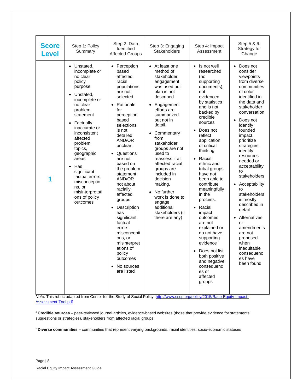| <b>Score</b><br><b>Level</b> | Step 1: Policy<br>Summary                                                                                                                                                                                                                                                                                                                                                                      | Step 2: Data<br>Identified<br><b>Affected Groups</b>                                                                                                                                                                                                                                                                                                                                                                                                                                                            | Step 3: Engaging<br><b>Stakeholders</b>                                                                                                                                                                                                                                                                                                                                                                                                                         | Step 4: Impact<br>Assessment                                                                                                                                                                                                                                                                                                                                                                                                                                                                                                                                                                                | Step 5 & 6:<br>Strategy for<br>Change                                                                                                                                                                                                                                                                                                                                                                                                                                                                                                  |
|------------------------------|------------------------------------------------------------------------------------------------------------------------------------------------------------------------------------------------------------------------------------------------------------------------------------------------------------------------------------------------------------------------------------------------|-----------------------------------------------------------------------------------------------------------------------------------------------------------------------------------------------------------------------------------------------------------------------------------------------------------------------------------------------------------------------------------------------------------------------------------------------------------------------------------------------------------------|-----------------------------------------------------------------------------------------------------------------------------------------------------------------------------------------------------------------------------------------------------------------------------------------------------------------------------------------------------------------------------------------------------------------------------------------------------------------|-------------------------------------------------------------------------------------------------------------------------------------------------------------------------------------------------------------------------------------------------------------------------------------------------------------------------------------------------------------------------------------------------------------------------------------------------------------------------------------------------------------------------------------------------------------------------------------------------------------|----------------------------------------------------------------------------------------------------------------------------------------------------------------------------------------------------------------------------------------------------------------------------------------------------------------------------------------------------------------------------------------------------------------------------------------------------------------------------------------------------------------------------------------|
| 1                            | Unstated,<br>$\bullet$<br>incomplete or<br>no clear<br>policy<br>purpose<br>Unstated,<br>incomplete or<br>no clear<br>problem<br>statement<br>Factually<br>$\bullet$<br>inaccurate or<br>inconsistent<br>affected<br>problem<br>topics,<br>geographic<br>areas<br>Has<br>$\bullet$<br>significant<br>factual errors,<br>misconceptio<br>ns, or<br>misinterpretati<br>ons of policy<br>outcomes | • Perception<br>based<br>affected<br>racial<br>populations<br>are not<br>selected<br>Rationale<br>$\bullet$<br>for<br>perception<br>based<br>selections<br>is not<br>detailed<br>AND/OR<br>unclear.<br>Questions<br>are not<br>based on<br>the problem<br>statement<br>AND/OR<br>not about<br>racially<br>affected<br>groups<br>Description<br>$\bullet$<br>has<br>significant<br>factual<br>errors,<br>misconcepti<br>ons, or<br>misinterpret<br>ations of<br>policy<br>outcomes<br>• No sources<br>are listed | • At least one<br>method of<br>stakeholder<br>engagement<br>was used but<br>plan is not<br>described<br>• Engagement<br>efforts are<br>summarized<br>but not in<br>detail.<br>Commentary<br>$\bullet$<br>from<br>stakeholder<br>groups are not<br>used to<br>reassess if all<br>affected racial<br>groups are<br>included in<br>decision<br>making.<br>No further<br>$\bullet$<br>work is done to<br>engage<br>additional<br>stakeholders (if<br>there are any) | Is not well<br>$\bullet$<br>researched<br>(no<br>supporting<br>documents),<br>not<br>evidenced<br>by statistics<br>and is not<br>backed by<br>credible<br>sources<br>Does not<br>$\bullet$<br>reflect<br>application<br>of critical<br>thinking<br>Racial,<br>$\bullet$<br>ethnic and<br>tribal groups<br>have not<br>been able to<br>contribute<br>meaningfully<br>in the<br>process.<br>Racial<br>$\bullet$<br>impact<br>outcomes<br>are not<br>explained or<br>do not have<br>supporting<br>evidence<br>Does not list<br>٠<br>both positive<br>and negative<br>consequenc<br>es or<br>affected<br>groups | Does not<br>$\bullet$<br>consider<br>viewpoints<br>from diverse<br>communities<br>of color<br>identified in<br>the data and<br>stakeholder<br>conversation<br>Does not<br>identify<br>founded<br>impact,<br>prioritize<br>strategies,<br>identify<br>resources<br>needed or<br>acceptability<br>to<br>stakeholders<br>Acceptability<br>$\bullet$<br>to<br>stakeholders<br>is mostly<br>described in<br>detail<br>Alternatives<br>or<br>amendments<br>are not<br>proposed<br>when<br>inequitable<br>consequenc<br>es have<br>been found |

*Note*: This rubric adapted from Center for the Study of Social Policy: [http://www.cssp.org/policy/2015/Race-Equity-Impact-](http://www.cssp.org/policy/2015/Race-Equity-Impact-Assessment-Tool.pdf)[Assessment-Tool.pdf](http://www.cssp.org/policy/2015/Race-Equity-Impact-Assessment-Tool.pdf)

<sup>a</sup>**Credible sources** – peer-reviewed journal articles, evidence-based websites (those that provide evidence for statements, suggestions or strategies), stakeholders from affected racial groups

<sup>b</sup>**Diverse communities** – communities that represent varying backgrounds, racial identities, socio-economic statuses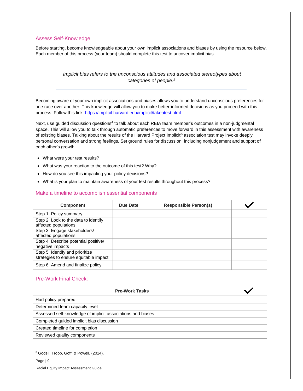### Assess Self-Knowledge

Before starting, become knowledgeable about your own implicit associations and biases by using the resource below. Each member of this process (your team) should complete this test to uncover implicit bias.

### *Implicit bias refers to the unconscious attitudes and associated stereotypes about categories of people.<sup>3</sup>*

Becoming aware of your own implicit associations and biases allows you to understand unconscious preferences for one race over another. This knowledge will allow you to make better-informed decisions as you proceed with this process. Follow this link:<https://implicit.harvard.edu/implicit/takeatest.html>

Next, use guided discussion questions<sup>4</sup> to talk about each REIA team member's outcomes in a non-judgmental space. This will allow you to talk through automatic preferences to move forward in this assessment with awareness of existing biases. Talking about the results of the Harvard Project Implicit<sup>®</sup> association test may invoke deeply personal conversation and strong feelings. Set ground rules for discussion, including nonjudgement and support of each other's growth.

- What were your test results?
- What was your reaction to the outcome of this test? Why?
- How do you see this impacting your policy decisions?
- What is your plan to maintain awareness of your test results throughout this process?

#### Make a timeline to accomplish essential components

| <b>Component</b>                                                         | Due Date | <b>Responsible Person(s)</b> |  |
|--------------------------------------------------------------------------|----------|------------------------------|--|
| Step 1: Policy summary                                                   |          |                              |  |
| Step 2: Look to the data to identify<br>affected populations             |          |                              |  |
| Step 3: Engage stakeholders/<br>affected populations                     |          |                              |  |
| Step 4: Describe potential positive/<br>negative impacts                 |          |                              |  |
| Step 5: Identify and prioritize<br>strategies to ensure equitable impact |          |                              |  |
| Step 6: Amend and finalize policy                                        |          |                              |  |

#### Pre-Work Final Check:

| <b>Pre-Work Tasks</b>                                       |  |
|-------------------------------------------------------------|--|
| Had policy prepared                                         |  |
| Determined team capacity level                              |  |
| Assessed self-knowledge of implicit associations and biases |  |
| Completed guided implicit bias discussion                   |  |
| Created timeline for completion                             |  |
| Reviewed quality components                                 |  |

<sup>3</sup> Godsil, Tropp, Goff, & Powell, (2014).

Page | 9

 $\overline{a}$ 

Racial Equity Impact Assessment Guide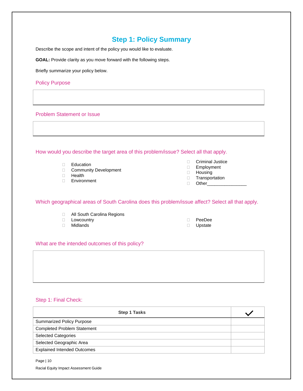## **Step 1: Policy Summary**

<span id="page-9-0"></span>Describe the scope and intent of the policy you would like to evaluate.

**GOAL:** Provide clarity as you move forward with the following steps.

Briefly summarize your policy below.

Policy Purpose

Problem Statement or Issue

How would you describe the target area of this problem/issue? Select all that apply.

- D Education
- **Community Development**
- D Health
- Environment
- Criminal Justice
- Employment
- Housing
- **Transportation**
- $\Box$  Other

Which geographical areas of South Carolina does this problem/issue affect? Select all that apply.

- **D** All South Carolina Regions
- D Lowcountry
- Midlands

 PeeDee D Upstate

## What are the intended outcomes of this policy?

## Step 1: Final Check:

| <b>Step 1 Tasks</b>                |  |
|------------------------------------|--|
| <b>Summarized Policy Purpose</b>   |  |
| <b>Completed Problem Statement</b> |  |
| <b>Selected Categories</b>         |  |
| Selected Geographic Area           |  |
| <b>Explained Intended Outcomes</b> |  |

Page | 10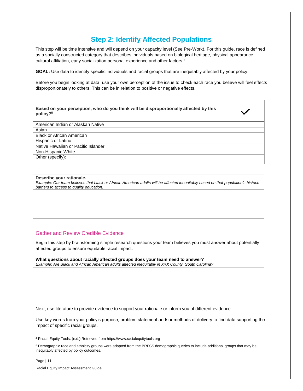# **Step 2: Identify Affected Populations**

<span id="page-10-0"></span>This step will be time intensive and will depend on your capacity level (See Pre-Work). For this guide, race is defined as a socially constructed category that describes individuals based on biological heritage, physical appearance, cultural affiliation, early socialization personal experience and other factors.<sup>4</sup>

**GOAL:** Use data to identify specific individuals and racial groups that are inequitably affected by your policy.

Before you begin looking at data, use your own perception of the issue to check each race you believe will feel effects disproportionately to others. This can be in relation to positive or negative effects.

| Based on your perception, who do you think will be disproportionally affected by this<br>policy? <sup>5</sup> |  |
|---------------------------------------------------------------------------------------------------------------|--|
| American Indian or Alaskan Native                                                                             |  |
| Asian                                                                                                         |  |
| <b>Black or African American</b>                                                                              |  |
| Hispanic or Latino                                                                                            |  |
| Native Hawaiian or Pacific Islander                                                                           |  |
| Non-Hispanic White                                                                                            |  |
| Other (specify):                                                                                              |  |

#### **Describe your rationale.**

*Example: Our team believes that black or African American adults will be affected inequitably based on that population's historic barriers to access to quality education.*

### Gather and Review Credible Evidence

Begin this step by brainstorming simple research questions your team believes you must answer about potentially affected groups to ensure equitable racial impact.

**What questions about racially affected groups does your team need to answer?** *Example: Are Black and African American adults affected inequitably in XXX County, South Carolina?*

Next, use literature to provide evidence to support your rationale or inform you of different evidence.

Use key words from your policy's purpose, problem statement and/ or methods of delivery to find data supporting the impact of specific racial groups.

Page | 11 Racial Equity Impact Assessment Guide

l

<sup>4</sup> Racial Equity Tools. (n.d.) Retrieved from https://www.racialequitytools.org

<sup>5</sup> Demographic race and ethnicity groups were adapted from the BRFSS demographic queries to include additional groups that may be inequitably affected by policy outcomes.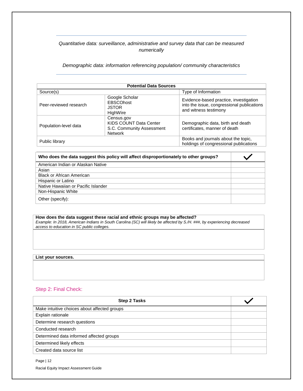## *Quantitative data: surveillance, administrative and survey data that can be measured numerically*

*Demographic data: information referencing population/ community characteristics*

| <b>Potential Data Sources</b> |                                                                                     |                                                                                                               |  |
|-------------------------------|-------------------------------------------------------------------------------------|---------------------------------------------------------------------------------------------------------------|--|
| Source(s)                     |                                                                                     | Type of Information                                                                                           |  |
| Peer-reviewed research        | Google Scholar<br><b>EBSCOhost</b><br><b>JSTOR</b><br>HighWire                      | Evidence-based practice, investigation<br>into the issue, congressional publications<br>and witness testimony |  |
| Population-level data         | Census.gov<br>KIDS COUNT Data Center<br>S.C. Community Assessment<br><b>Network</b> | Demographic data, birth and death<br>certificates, manner of death                                            |  |
| Public library                |                                                                                     | Books and journals about the topic,<br>holdings of congressional publications                                 |  |

| Who does the data suggest this policy will affect disproportionately to other groups? |  |
|---------------------------------------------------------------------------------------|--|
| American Indian or Alaskan Native                                                     |  |
| Asian                                                                                 |  |
| <b>Black or African American</b>                                                      |  |
| Hispanic or Latino                                                                    |  |
| Native Hawaiian or Pacific Islander                                                   |  |
| Non-Hispanic White                                                                    |  |
| Other (specify):                                                                      |  |

#### **How does the data suggest these racial and ethnic groups may be affected?**  *Example: In 2018, American Indians in South Carolina (SC) will likely be affected by S./H. ###, by experiencing decreased access to education in SC public colleges.*

#### **List your sources.**

## Step 2: Final Check:

| <b>Step 2 Tasks</b>                          |  |
|----------------------------------------------|--|
| Make intuitive choices about affected groups |  |
| Explain rationale                            |  |
| Determine research questions                 |  |
| Conducted research                           |  |
| Determined data informed affected groups     |  |
| Determined likely effects                    |  |
| Created data source list                     |  |

Page | 12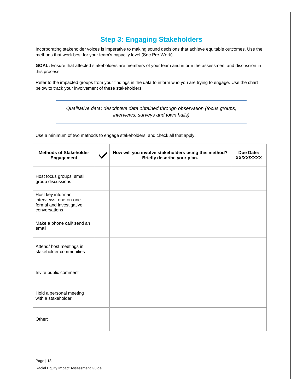# **Step 3: Engaging Stakeholders**

<span id="page-12-0"></span>Incorporating stakeholder voices is imperative to making sound decisions that achieve equitable outcomes. Use the methods that work best for your team's capacity level (See Pre-Work).

**GOAL:** Ensure that affected stakeholders are members of your team and inform the assessment and discussion in this process.

Refer to the impacted groups from your findings in the data to inform who you are trying to engage. Use the chart below to track your involvement of these stakeholders.

## *Qualitative data: descriptive data obtained through observation (focus groups, interviews, surveys and town halls)*

Use a minimum of two methods to engage stakeholders, and check all that apply.

| <b>Methods of Stakeholder</b><br><b>Engagement</b>                                        | How will you involve stakeholders using this method?<br>Briefly describe your plan. | Due Date:<br>XX/XX/XXXX |
|-------------------------------------------------------------------------------------------|-------------------------------------------------------------------------------------|-------------------------|
| Host focus groups: small<br>group discussions                                             |                                                                                     |                         |
| Host key informant<br>interviews: one-on-one<br>formal and investigative<br>conversations |                                                                                     |                         |
| Make a phone call/ send an<br>email                                                       |                                                                                     |                         |
| Attend/ host meetings in<br>stakeholder communities                                       |                                                                                     |                         |
| Invite public comment                                                                     |                                                                                     |                         |
| Hold a personal meeting<br>with a stakeholder                                             |                                                                                     |                         |
| Other:                                                                                    |                                                                                     |                         |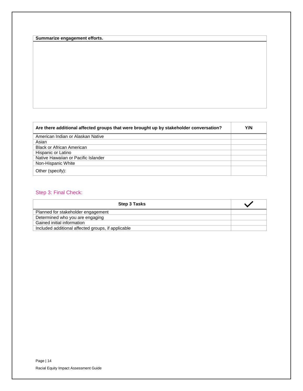| Summarize engagement efforts. |  |
|-------------------------------|--|
|-------------------------------|--|

| Are there additional affected groups that were brought up by stakeholder conversation? | Y/N |
|----------------------------------------------------------------------------------------|-----|
| American Indian or Alaskan Native                                                      |     |
| Asian                                                                                  |     |
| <b>Black or African American</b>                                                       |     |
| Hispanic or Latino                                                                     |     |
| Native Hawaiian or Pacific Islander                                                    |     |
| Non-Hispanic White                                                                     |     |
| Other (specify):                                                                       |     |

## Step 3: Final Check:

<span id="page-13-0"></span>

| <b>Step 3 Tasks</b>                                |  |
|----------------------------------------------------|--|
| Planned for stakeholder engagement                 |  |
| Determined who you are engaging                    |  |
| Gained initial information                         |  |
| Included additional affected groups, if applicable |  |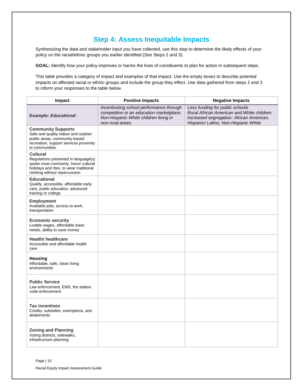# **Step 4: Assess Inequitable Impacts**

Synthesizing the data and stakeholder input you have collected, use this step to determine the likely effects of your policy on the racial/ethnic groups you earlier identified (See Steps 2 and 3).

**GOAL:** Identify how your policy improves or harms the lives of constituents to plan for action in subsequent steps.

This table provides a category of impact and examples of that impact. Use the empty boxes to describe potential impacts on affected racial or ethnic groups and include the group they effect. Use data gathered from steps 2 and 3 to inform your responses to the table below.

| Impact                                                                                                                                                                     | <b>Positive Impacts</b>                                                                                                                           | <b>Negative Impacts</b>                                                                                                                                           |
|----------------------------------------------------------------------------------------------------------------------------------------------------------------------------|---------------------------------------------------------------------------------------------------------------------------------------------------|-------------------------------------------------------------------------------------------------------------------------------------------------------------------|
| <b>Example: Educational</b>                                                                                                                                                | Incentivizing school performance through<br>competition in an education marketplace:<br>Non-Hispanic White children living in<br>non-rural areas. | Less funding for public schools<br>Rural African American and White children.<br>Increased segregation: African American,<br>Hispanic/ Latino, Non-Hispanic White |
| <b>Community Supports</b><br>Safe and quality indoor and outdoor<br>public areas, community-based<br>recreation, support services proximity<br>to communities              |                                                                                                                                                   |                                                                                                                                                                   |
| <b>Cultural</b><br>Regulations presented in language(s)<br>spoke most commonly, honor cultural<br>holidays and rites, to wear traditional<br>clothing without repercussion |                                                                                                                                                   |                                                                                                                                                                   |
| <b>Educational</b><br>Quality, accessible, affordable early<br>care, public education, advanced<br>training or college                                                     |                                                                                                                                                   |                                                                                                                                                                   |
| <b>Employment</b><br>Available jobs, access to work,<br>transportation                                                                                                     |                                                                                                                                                   |                                                                                                                                                                   |
| <b>Economic security</b><br>Livable wages, affordable basic<br>needs, ability to save money                                                                                |                                                                                                                                                   |                                                                                                                                                                   |
| <b>Health/ healthcare</b><br>Accessible and affordable health<br>care                                                                                                      |                                                                                                                                                   |                                                                                                                                                                   |
| <b>Housing</b><br>Affordable, safe, clean living<br>environments                                                                                                           |                                                                                                                                                   |                                                                                                                                                                   |
| <b>Public Service</b><br>Law enforcement, EMS, fire station,<br>code enforcement                                                                                           |                                                                                                                                                   |                                                                                                                                                                   |
| <b>Tax incentives</b><br>Credits, subsidies, exemptions, and<br>abatements                                                                                                 |                                                                                                                                                   |                                                                                                                                                                   |
| <b>Zoning and Planning</b><br>Voting districts, sidewalks,<br>infrastructure planning                                                                                      |                                                                                                                                                   |                                                                                                                                                                   |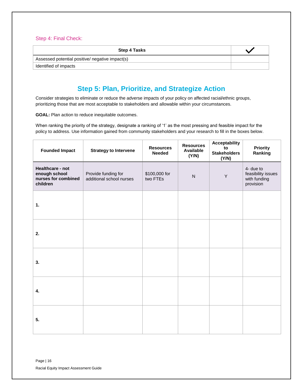### Step 4: Final Check:

| <b>Step 4 Tasks</b>                             |  |
|-------------------------------------------------|--|
| Assessed potential positive/ negative impact(s) |  |
| Identified of impacts                           |  |

# **Step 5: Plan, Prioritize, and Strategize Action**

<span id="page-15-0"></span>Consider strategies to eliminate or reduce the adverse impacts of your policy on affected racial/ethnic groups, prioritizing those that are most acceptable to stakeholders and allowable within your circumstances.

**GOAL:** Plan action to reduce inequitable outcomes.

When ranking the priority of the strategy, designate a ranking of '1' as the most pressing and feasible impact for the policy to address. Use information gained from community stakeholders and your research to fill in the boxes below.

| <b>Founded Impact</b>                                                | <b>Strategy to Intervene</b>                    | <b>Resources</b><br><b>Needed</b> | <b>Resources</b><br>Available<br>(Y/N) | <b>Acceptability</b><br>to<br><b>Stakeholders</b><br>(Y/N) | <b>Priority</b><br>Ranking                                   |
|----------------------------------------------------------------------|-------------------------------------------------|-----------------------------------|----------------------------------------|------------------------------------------------------------|--------------------------------------------------------------|
| Healthcare - not<br>enough school<br>nurses for combined<br>children | Provide funding for<br>additional school nurses | \$100,000 for<br>two FTEs         | ${\sf N}$                              | Y                                                          | 4- due to<br>feasibility issues<br>with funding<br>provision |
| 1.                                                                   |                                                 |                                   |                                        |                                                            |                                                              |
| 2.                                                                   |                                                 |                                   |                                        |                                                            |                                                              |
| 3.                                                                   |                                                 |                                   |                                        |                                                            |                                                              |
| 4.                                                                   |                                                 |                                   |                                        |                                                            |                                                              |
| 5.                                                                   |                                                 |                                   |                                        |                                                            |                                                              |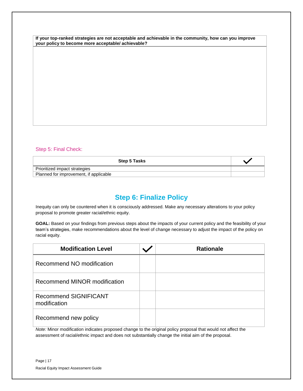**If your top-ranked strategies are not acceptable and achievable in the community, how can you improve your policy to become more acceptable/ achievable?**

### Step 5: Final Check:

<span id="page-16-0"></span>

| <b>Step 5 Tasks</b>                    |  |
|----------------------------------------|--|
| Prioritized impact strategies          |  |
| Planned for improvement, if applicable |  |

## **Step 6: Finalize Policy**

Inequity can only be countered when it is consciously addressed. Make any necessary alterations to your policy proposal to promote greater racial/ethnic equity.

**GOAL:** Based on your findings from previous steps about the impacts of your current policy and the feasibility of your team's strategies, make recommendations about the level of change necessary to adjust the impact of the policy on racial equity.

| <b>Modification Level</b>                    | <b>Rationale</b> |
|----------------------------------------------|------------------|
| Recommend NO modification                    |                  |
| Recommend MINOR modification                 |                  |
| <b>Recommend SIGNIFICANT</b><br>modification |                  |
| Recommend new policy                         |                  |

*Note:* Minor modification indicates proposed change to the original policy proposal that would not affect the assessment of racial/ethnic impact and does not substantially change the initial aim of the proposal.